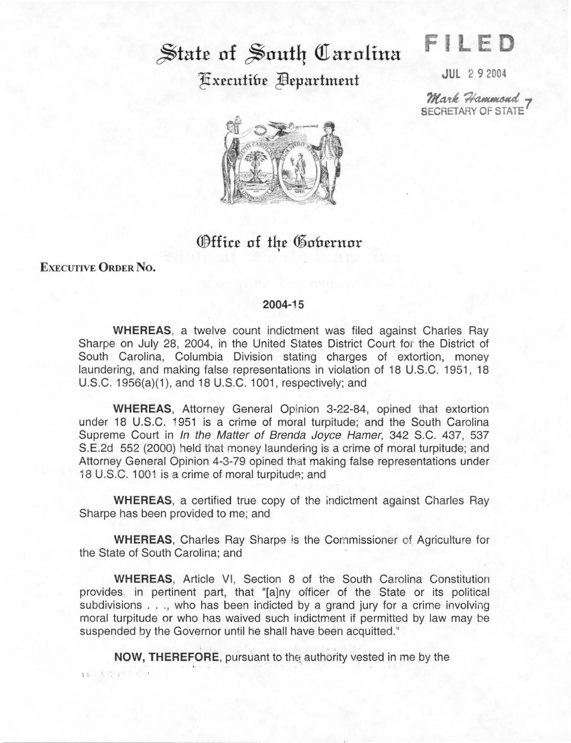## State of South Carolina **Executibe Bepartment**

**F LED** 

JUL 2 9 2004

Mark Hammond -SECRETARY OF STATE



## Office of the Gobernor

EXECUTIVE ORDER No.

14 1 1 12 4

## 2004-15

WHEREAS. a twelve count indictment was filed against Charles Ray Sharpe on July 28, 2004, in the United States District Court for the District of South Carolina, Columbia Division stating charges of extortion, money laundering, and making false representations in violation of 18 U.S.C. 1951, 18 U.S.C. 1956(a)(1), and 18 U.S.C. 1001, respectively; and

WHEREAS, Attorney General Opinion 3-22-84, opined that extortion under 18 U.S.C. 1951 is a crime of moral turpitude; and the South Carolina Supreme Court in In the Matter of Brenda Joyce Hamer, 342 S.C. 437, 537 S.E.2d 552 (2000) held that money laundering is a crime of moral turpitude; and Attorney General Opirion 4-3-79 opined that making false representations under 18 U.S.C. 1001 is a crime of moral turpitude; and

WHEREAS, a certified true copy of the indictment against Charles Ray Sharpe has been provided to me; and

WHEREAS, Charles Ray Sharpe is the Commissioner of Agriculture for the State of South Carolina; and

WHEREAS, Article VI, Section 8 of the South Carolina Constitution provides. in pertinent part, that "[a]ny officer of the State or its political subdivisions . . ., who has been indicted by a grand jury for a crime involving moral turpitude or who has waived such indictment if permitted by law may be suspended by the Governor until he shall have been acquitted."

NOW, THEREFORE, pursuant to the authority vested in me by the